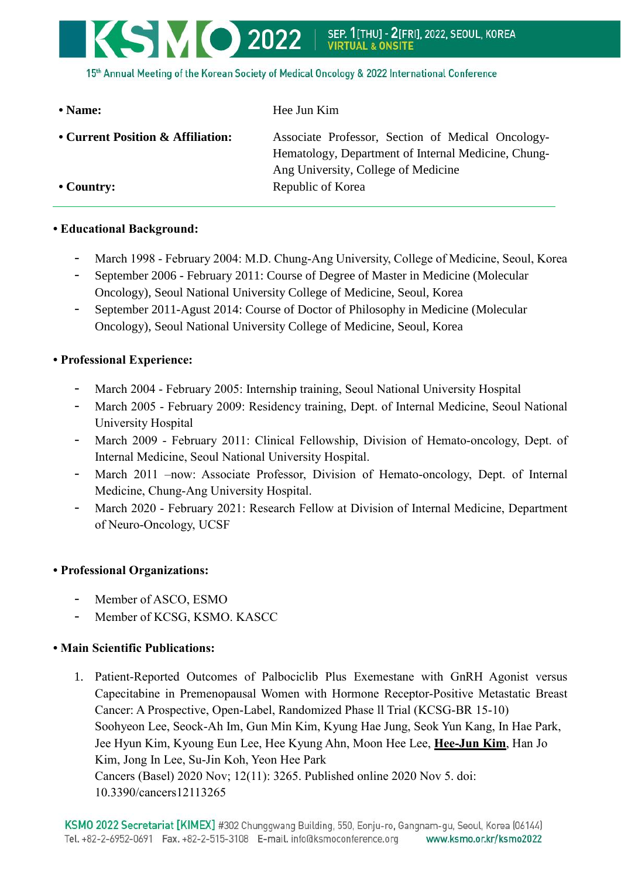

15th Annual Meeting of the Korean Society of Medical Oncology & 2022 International Conference

| • Name:                                               | Hee Jun Kim                                                                                                                                                          |
|-------------------------------------------------------|----------------------------------------------------------------------------------------------------------------------------------------------------------------------|
| • Current Position & Affiliation:<br>$\cdot$ Country: | Associate Professor, Section of Medical Oncology-<br>Hematology, Department of Internal Medicine, Chung-<br>Ang University, College of Medicine<br>Republic of Korea |
|                                                       |                                                                                                                                                                      |

## **• Educational Background:**

- March 1998 February 2004: M.D. Chung-Ang University, College of Medicine, Seoul, Korea
- September 2006 February 2011: Course of Degree of Master in Medicine (Molecular Oncology), Seoul National University College of Medicine, Seoul, Korea
- September 2011-Agust 2014: Course of Doctor of Philosophy in Medicine (Molecular Oncology), Seoul National University College of Medicine, Seoul, Korea

## **• Professional Experience:**

- March 2004 February 2005: Internship training, Seoul National University Hospital
- March 2005 February 2009: Residency training, Dept. of Internal Medicine, Seoul National University Hospital
- March 2009 February 2011: Clinical Fellowship, Division of Hemato-oncology, Dept. of Internal Medicine, Seoul National University Hospital.
- March 2011 –now: Associate Professor, Division of Hemato-oncology, Dept. of Internal Medicine, Chung-Ang University Hospital.
- March 2020 February 2021: Research Fellow at Division of Internal Medicine, Department of Neuro-Oncology, UCSF

## **• Professional Organizations:**

- Member of ASCO, ESMO
- Member of KCSG, KSMO. KASCC

## **• Main Scientific Publications:**

1. Patient-Reported Outcomes of Palbociclib Plus Exemestane with GnRH Agonist versus Capecitabine in Premenopausal Women with Hormone Receptor-Positive Metastatic Breast Cancer: A Prospective, Open-Label, Randomized Phase ll Trial (KCSG-BR 15-10) Soohyeon Lee, Seock-Ah Im, Gun Min Kim, Kyung Hae Jung, Seok Yun Kang, In Hae Park, Jee Hyun Kim, Kyoung Eun Lee, Hee Kyung Ahn, Moon Hee Lee, **Hee-Jun Kim**, Han Jo Kim, Jong In Lee, Su-Jin Koh, Yeon Hee Park Cancers (Basel) 2020 Nov; 12(11): 3265. Published online 2020 Nov 5. doi: 10.3390/cancers12113265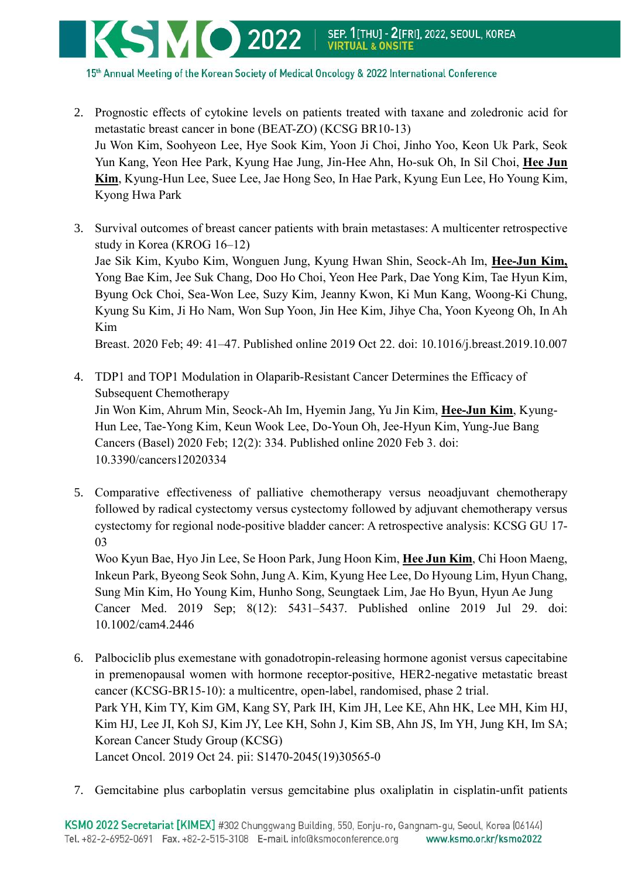

15th Annual Meeting of the Korean Society of Medical Oncology & 2022 International Conference

- 2. Prognostic effects of cytokine levels on patients treated with taxane and zoledronic acid for metastatic breast cancer in bone (BEAT-ZO) (KCSG BR10-13) Ju Won Kim, Soohyeon Lee, Hye Sook Kim, Yoon Ji Choi, Jinho Yoo, Keon Uk Park, Seok Yun Kang, Yeon Hee Park, Kyung Hae Jung, Jin-Hee Ahn, Ho-suk Oh, In Sil Choi, **Hee Jun Kim**, Kyung-Hun Lee, Suee Lee, Jae Hong Seo, In Hae Park, Kyung Eun Lee, Ho Young Kim, Kyong Hwa Park
- 3. Survival outcomes of breast cancer patients with brain metastases: A multicenter retrospective study in Korea (KROG 16–12) Jae Sik Kim, Kyubo Kim, Wonguen Jung, Kyung Hwan Shin, Seock-Ah Im, **Hee-Jun Kim,** Yong Bae Kim, Jee Suk Chang, Doo Ho Choi, Yeon Hee Park, Dae Yong Kim, Tae Hyun Kim, Byung Ock Choi, Sea-Won Lee, Suzy Kim, Jeanny Kwon, Ki Mun Kang, Woong-Ki Chung, Kyung Su Kim, Ji Ho Nam, Won Sup Yoon, Jin Hee Kim, Jihye Cha, Yoon Kyeong Oh, In Ah Kim

Breast. 2020 Feb; 49: 41–47. Published online 2019 Oct 22. doi: 10.1016/j.breast.2019.10.007

- 4. TDP1 and TOP1 Modulation in Olaparib-Resistant Cancer Determines the Efficacy of Subsequent Chemotherapy Jin Won Kim, Ahrum Min, Seock-Ah Im, Hyemin Jang, Yu Jin Kim, **Hee-Jun Kim**, Kyung-Hun Lee, Tae-Yong Kim, Keun Wook Lee, Do-Youn Oh, Jee-Hyun Kim, Yung-Jue Bang Cancers (Basel) 2020 Feb; 12(2): 334. Published online 2020 Feb 3. doi: 10.3390/cancers12020334
- 5. Comparative effectiveness of palliative chemotherapy versus neoadjuvant chemotherapy followed by radical cystectomy versus cystectomy followed by adjuvant chemotherapy versus cystectomy for regional node‐positive bladder cancer: A retrospective analysis: KCSG GU 17‐ 03

Woo Kyun Bae, Hyo Jin Lee, Se Hoon Park, Jung Hoon Kim, **Hee Jun Kim**, Chi Hoon Maeng, Inkeun Park, Byeong Seok Sohn, Jung A. Kim, Kyung Hee Lee, Do Hyoung Lim, Hyun Chang, Sung Min Kim, Ho Young Kim, Hunho Song, Seungtaek Lim, Jae Ho Byun, Hyun Ae Jung Cancer Med. 2019 Sep; 8(12): 5431–5437. Published online 2019 Jul 29. doi: 10.1002/cam4.2446

- 6. Palbociclib plus exemestane with gonadotropin-releasing hormone agonist versus capecitabine in premenopausal women with hormone receptor-positive, HER2-negative metastatic breast cancer (KCSG-BR15-10): a multicentre, open-label, randomised, phase 2 trial. Park YH, Kim TY, Kim GM, Kang SY, Park IH, Kim JH, Lee KE, Ahn HK, Lee MH, Kim HJ, Kim HJ, Lee JI, Koh SJ, Kim JY, Lee KH, Sohn J, Kim SB, Ahn JS, Im YH, Jung KH, Im SA; Korean Cancer Study Group (KCSG) Lancet Oncol. 2019 Oct 24. pii: S1470-2045(19)30565-0
- 7. Gemcitabine plus carboplatin versus gemcitabine plus oxaliplatin in cisplatin-unfit patients